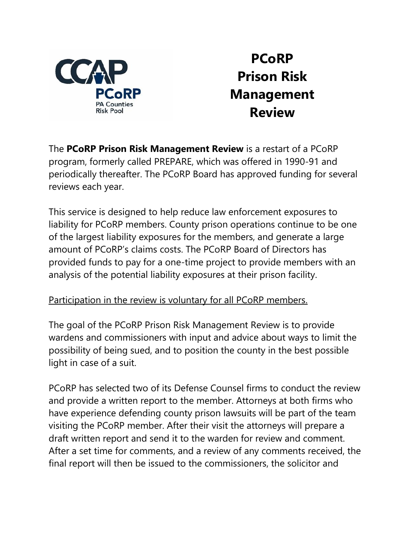

## **PCoRP Prison Risk Management Review**

The **PCoRP Prison Risk Management Review** is a restart of a PCoRP program, formerly called PREPARE, which was offered in 1990-91 and periodically thereafter. The PCoRP Board has approved funding for several reviews each year.

This service is designed to help reduce law enforcement exposures to liability for PCoRP members. County prison operations continue to be one of the largest liability exposures for the members, and generate a large amount of PCoRP's claims costs. The PCoRP Board of Directors has provided funds to pay for a one-time project to provide members with an analysis of the potential liability exposures at their prison facility.

## Participation in the review is voluntary for all PCoRP members.

The goal of the PCoRP Prison Risk Management Review is to provide wardens and commissioners with input and advice about ways to limit the possibility of being sued, and to position the county in the best possible light in case of a suit.

PCoRP has selected two of its Defense Counsel firms to conduct the review and provide a written report to the member. Attorneys at both firms who have experience defending county prison lawsuits will be part of the team visiting the PCoRP member. After their visit the attorneys will prepare a draft written report and send it to the warden for review and comment. After a set time for comments, and a review of any comments received, the final report will then be issued to the commissioners, the solicitor and